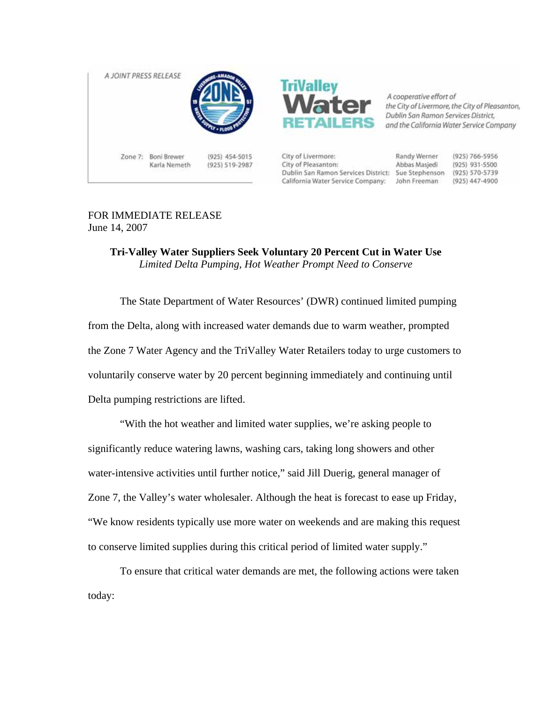



A cooperative effort of the City of Livermore, the City of Pleasanton, Dublin San Ramon Services District. and the California Water Service Company

Zone 7: Boni Brewer Karla Nemeth

(925) 454-5015 (925) 519-2987 City of Livermore: City of Pleasanton: Dublin San Ramon Services District: Sue Stephenson (925) 570-5739 California Water Service Company: John Freeman

Randy Werner Abbas Masjedi

(925) 766-5956 (925) 931-5500 (925) 447-4900

## FOR IMMEDIATE RELEASE June 14, 2007

## **Tri-Valley Water Suppliers Seek Voluntary 20 Percent Cut in Water Use** *Limited Delta Pumping, Hot Weather Prompt Need to Conserve*

The State Department of Water Resources' (DWR) continued limited pumping from the Delta, along with increased water demands due to warm weather, prompted the Zone 7 Water Agency and the TriValley Water Retailers today to urge customers to voluntarily conserve water by 20 percent beginning immediately and continuing until Delta pumping restrictions are lifted.

"With the hot weather and limited water supplies, we're asking people to significantly reduce watering lawns, washing cars, taking long showers and other water-intensive activities until further notice," said Jill Duerig, general manager of Zone 7, the Valley's water wholesaler. Although the heat is forecast to ease up Friday, "We know residents typically use more water on weekends and are making this request to conserve limited supplies during this critical period of limited water supply."

To ensure that critical water demands are met, the following actions were taken today: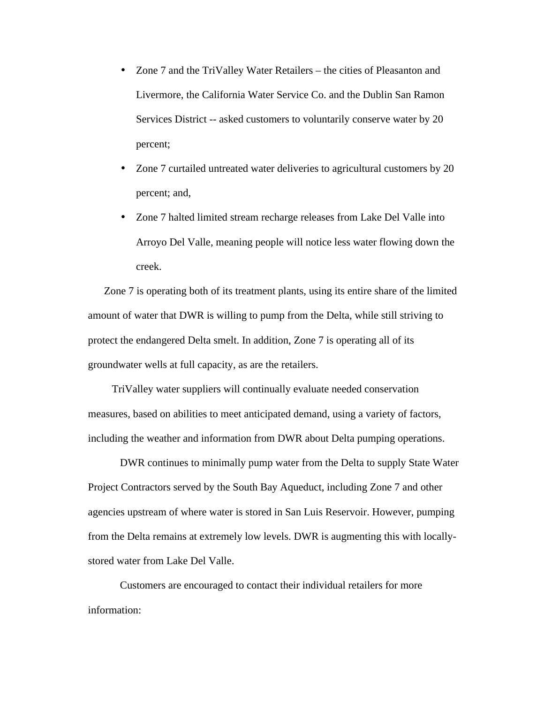- Zone 7 and the TriValley Water Retailers the cities of Pleasanton and Livermore, the California Water Service Co. and the Dublin San Ramon Services District -- asked customers to voluntarily conserve water by 20 percent;
- Zone 7 curtailed untreated water deliveries to agricultural customers by 20 percent; and,
- Zone 7 halted limited stream recharge releases from Lake Del Valle into Arroyo Del Valle, meaning people will notice less water flowing down the creek.

Zone 7 is operating both of its treatment plants, using its entire share of the limited amount of water that DWR is willing to pump from the Delta, while still striving to protect the endangered Delta smelt. In addition, Zone 7 is operating all of its groundwater wells at full capacity, as are the retailers.

TriValley water suppliers will continually evaluate needed conservation measures, based on abilities to meet anticipated demand, using a variety of factors, including the weather and information from DWR about Delta pumping operations.

DWR continues to minimally pump water from the Delta to supply State Water Project Contractors served by the South Bay Aqueduct, including Zone 7 and other agencies upstream of where water is stored in San Luis Reservoir. However, pumping from the Delta remains at extremely low levels. DWR is augmenting this with locallystored water from Lake Del Valle.

Customers are encouraged to contact their individual retailers for more information: